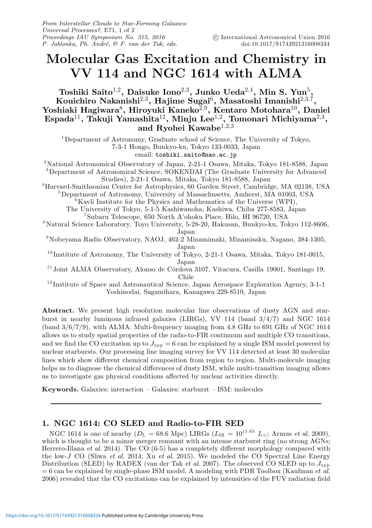## Molecular Gas Excitation and Chemistry in VV 114 and NGC 1614 with ALMA

Toshiki Saito $^{1,2}$ , Daisuke Iono $^{2,3}$ , Junko Ueda $^{2,4}$ , Min S. Yun $^5$ , Kouichiro Nakanishi $^{2,3},\,$ Hajime Sugai $^6,\,$ Masatoshi Imanishi $^{2,3,7},\,$ Yoshiaki Hagiwara $^8$ , Hiroyuki Kaneko $^{2,9}$ , Kentaro Motohara $^{10}$ , Daniel Espada $^{11}$ , Takuji Yamashita $^{12}$ , Minju Lee $^{1,2}$ , Tomonari Michiyama $^{2,3}$ , and Ryohei Kawabe<sup>1,2,3</sup>

<sup>1</sup>Department of Astronomy, Graduate school of Science, The University of Tokyo, 7-3-1 Hongo, Bunkyo-ku, Tokyo 133-0033, Japan email: toshiki.saito@nao.ac.jp

<sup>2</sup>National Astronomical Observatory of Japan, 2-21-1 Osawa, Mitaka, Tokyo 181-8588, Japan <sup>3</sup>Department of Astronomical Science, SOKENDAI (The Graduate University for Advanced

Studies), 2-21-1 Osawa, Mitaka, Tokyo 181-8588, Japan

<sup>4</sup>Harvard-Smithsonian Center for Astrophysics, 60 Garden Street, Cambridge, MA 02138, USA <sup>5</sup>Department of Astronomy, University of Massachusetts, Amherst, MA 01003, USA

 ${}^{6}$ Kavli Institute for the Physics and Mathematics of the Universe (WPI), The University of Tokyo, 5-1-5 Kashiwanoha, Kashiwa, Chiba 277-8583, Japan

<sup>7</sup>Subaru Telescope, 650 North A'ohoku Place, Hilo, HI 96720, USA

<sup>8</sup>Natural Science Laboratory, Toyo University, 5-28-20, Hakusan, Bunkyo-ku, Tokyo 112-8606, Japan

<sup>9</sup>Nobeyama Radio Observatory, NAOJ, 462-2 Minamimaki, Minamisaku, Nagano, 384-1305, Japan

 $^{10}$ Institute of Astronomy, The University of Tokyo, 2-21-1 Osawa, Mitaka, Tokyo 181-0015, Japan

<sup>11</sup> Joint ALMA Observatory, Alonso de Córdova 3107, Vitacura, Casilla 19001, Santiago 19, Chile

<sup>12</sup>Institute of Space and Astronautical Science, Japan Aerospace Exploration Agency, 3-1-1 Yoshinodai, Sagamihara, Kanagawa 229-8510, Japan

Abstract. We present high resolution molecular line observations of dusty AGN and starburst in nearby luminous infrared galaxies (LIRGs), VV 114 (band 3/4/7) and NGC 1614 (band  $3/6/7/9$ ), with ALMA. Multi-frequency imaging from 4.8 GHz to 691 GHz of NGC 1614 allows us to study spatial properties of the radio-to-FIR continuum and multiple CO transitions, and we find the CO excitation up to  $J_{\rm upp} = 6$  can be explained by a single ISM model powered by nuclear starbursts. Our processing line imaging survey for VV 114 detected at least 30 molecular lines which show different chemical composition from region to region. Multi-molecule imaging helps us to diagnose the chemical differences of dusty ISM, while multi-transition imaging allows us to investigate gas physical conditions affected by nuclear activities directly.

**Keywords.** Galaxies: interaction  $-$  Galaxies: starburst  $-$  ISM: molecules

## 1. NGC 1614: CO SLED and Radio-to-FIR SED

NGC 1614 is one of nearby ( $D_{\rm L} = 68.6$  Mpc) LIRGs ( $L_{\rm IR} = 10^{11.65}$   $L_{\odot}$ ; Armus *et al.* 2009), which is thought to be a minor merger remnant with an intense starburst ring (no strong AGNs; Herrero-Illana *et al.* 2014). The CO (6-5) has a completely different morphology compared with the low-J CO (Sliwa *et al.* 2014; Xu *et al.* 2015). We modeled the CO Spectral Line Energy Distribution (SLED) by RADEX (van der Tak *et al.* 2007). The observed CO SLED up to  $J_{\text{upp}}$ = 6 can be explained by single-phase ISM model. A modeling with PDR Toolbox (Kaufman *et al.* 2006) revealed that the CO excitations can be explained by intensities of the FUV radiation field